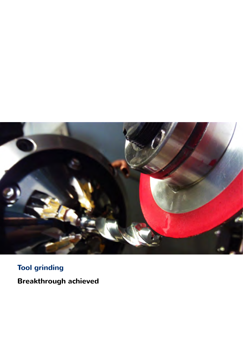

# **Tool grinding**

**Breakthrough achieved**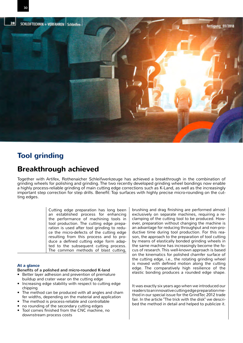



# **Tool grinding**

# **Breakthrough achieved**

Together with Artifex, Rothenaicher Schleifwerkzeuge has achieved a breakthrough in the combination of grinding wheels for polishing and grinding. The two recently developed grinding wheel bondings now enable a highly process-reliable grinding of main cutting edge corrections such as K-Land, as well as the increasingly important step correction for step drills. Benefit: Top surfaces with highly precise micro-rounding on the cutting edges.

> Cutting edge preparation has long been an established process for enhancing the performance of machining tools in tool production. The cutting edge preparation is used after tool grinding to reduce the micro-defects of the cutting edge resulting from this process and to produce a defined cutting edge form adapted to the subsequent cutting process. The common methods of blast cutting,

### **At a glance**

- Benefits of a polished and micro-rounded K-land
- Better layer adhesion and prevention of premature buildup and crater wear on the cutting edge
- Increasing edge stability with respect to cutting edge chipping
- The method can be produced with all angles and cham fer widths, depending on the material and application
- The method is process-reliable and controllable
- no rounding of the secondary cutting edges
- Tool comes finished from the CNC machine, no downstream process costs

brushing and drag finishing are performed almost exclusively on separate machines, requiring a reclamping of the cutting tool to be produced. However, preparation without changing the machine is an advantage for reducing throughput and non-productive time during tool production. For this reason, the approach to the preparation of tool cutting by means of elastically bonded grinding wheels in the same machine has increasingly become the focus of research. This well-known approach is based on the kinematics for polished chamfer surface of the cutting edge, i.e., the rotating grinding wheel is moved with defined motion along the cutting edge. The comparatively high resilience of the elastic bonding produces a rounded edge shape.

It was exactly six years ago when we introduced our readers to an innovative cutting edge preparation method in our special issue for the GrindTec 2012 trade fair. In the article "The trick with the disk" we described the method in detail and helped to publicize it.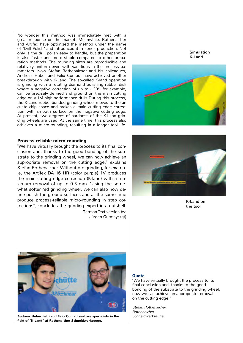No wonder this method was immediately met with a great response on the market. Meanwhile, Rothenaicher and Artifex have optimized the method under the name of "Drill Polish" and introduced it in series production. Not only is the drill polish easy to handle, but the preparation is also faster and more stable compared to other preparation methods. The rounding sizes are reproducible and relatively uniform even with variations in the process parameters. Now Stefan Rothenaicher and his colleagues, Andreas Huber and Felix Conrad, have achieved another breakthrough with K-Land. The so-called K-land operation is grinding with a rotating diamond polishing rubber disk where a negative correction of up to - 30°, for example, can be precisely defined and ground on the main cutting edge on VHM high-performance drills During this process, the K-Land rubber-bonded grinding wheel moves to the arcuate chip space and makes a main cutting edge correction with smooth surface on the negative cutting edge. At present, two degrees of hardness of the K-Land grinding wheels are used. At the same time, this process also achieves a micro-rounding, resulting in a longer tool life.

#### **Process-reliable micro-rounding**

"We have virtually brought the process to its final conclusion and, thanks to the good bonding of the substrate to the grinding wheel, we can now achieve an appropriate removal on the cutting edge," explains Stefan Rothenaicher. Without pre-grinding, for example, the Artifex DA 16 HR (color purple) 1V produces the main cutting edge correction (K-land) with a maximum removal of up to 0.3 mm. "Using the somewhat softer red grinding wheel, we can also now define polish the ground surfaces and at the same time produce process-reliable micro-rounding in step corrections", concludes the grinding expert in a nutshell. German Text version by:

Jürgen Gutmayr (gt)





K-Land on the tool



Andreas Huber (left) and Felix Conrad sind are specialists in the Schneidwerkzeuge **field of "K-Land" at Rothenaicher Schneidwerkzeuge.**

#### **Quote**

"We have virtually brought the process to its final conclusion and, thanks to the good bonding of the substrate to the grinding wheel, now we can achieve an appropriate removal on the cutting edge."

Stefan Rothenaicher, Rothenaicher